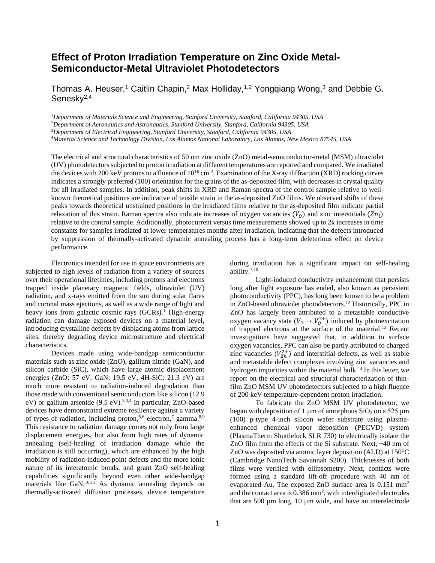## **Effect of Proton Irradiation Temperature on Zinc Oxide Metal-Semiconductor-Metal Ultraviolet Photodetectors**

Thomas A. Heuser,<sup>1</sup> Caitlin Chapin,<sup>2</sup> Max Holliday,<sup>1,2</sup> Yongqiang Wong,<sup>3</sup> and Debbie G. Senesky<sup>2,4</sup>

<sup>1</sup>*Department of Materials Science and Engineering, Stanford University, Stanford, California 94305, USA*

<sup>2</sup>*Department of Aeronautics and Astronautics, Stanford University, Stanford, California 94305, USA*

<sup>3</sup>*Department of Electrical Engineering, Stanford University, Stanford, California 94305, USA*

<sup>4</sup>*Material Science and Technology Division, Los Alamos National Laboratory, Los Alamos, New Mexico 87545, USA*

The electrical and structural characteristics of 50 nm zinc oxide (ZnO) metal-semiconductor-metal (MSM) ultraviolet (UV) photodetectorssubjected to proton irradiation at different temperatures are reported and compared. We irradiated the devices with 200 keV protons to a fluence of  $10^{16}$  cm<sup>-2</sup>. Examination of the X-ray diffraction (XRD) rocking curves indicates a strongly preferred (100) orientation for the grains of the as-deposited film, with decreases in crystal quality for all irradiated samples. In addition, peak shifts in XRD and Raman spectra of the control sample relative to wellknown theoretical positions are indicative of tensile strain in the as-deposited ZnO films. We observed shifts of these peaks towards theoretical unstrained positions in the irradiated films relative to the as-deposited film indicate partial relaxation of this strain. Raman spectra also indicate increases of oxygen vacancies  $(V_o)$  and zinc interstitials  $(Zn_i)$ relative to the control sample. Additionally, photocurrent versus time measurements showed up to 2x increases in time constants for samples irradiated at lower temperatures months after irradiation, indicating that the defects introduced by suppression of thermally-activated dynamic annealing process has a long-term deleterious effect on device performance.

Electronics intended for use in space environments are subjected to high levels of radiation from a variety of sources over their operational lifetimes, including protons and electrons trapped inside planetary magnetic fields, ultraviolet (UV) radiation, and x-rays emitted from the sun during solar flares and coronal mass ejections, as well as a wide range of light and heavy ions from galactic cosmic rays  $(GCRs)$ .<sup>1</sup> High-energy radiation can damage exposed devices on a material level, introducing crystalline defects by displacing atoms from lattice sites, thereby degrading device microstructure and electrical characteristics.

Devices made using wide-bandgap semiconductor materials such as zinc oxide (ZnO), gallium nitride (GaN), and silicon carbide (SiC), which have large atomic displacement energies (ZnO: 57 eV, GaN: 19.5 eV, 4H-SiC: 21.3 eV) are much more resistant to radiation-induced degradation than those made with conventional semiconductors like silicon (12.9 eV) or gallium arsenide  $(9.5 \text{ eV})$ .<sup>2,3,4</sup> In particular, ZnO-based devices have demonstrated extreme resilience against a variety of types of radiation, including proton,<sup>5,6</sup> electron,<sup>7</sup> gamma.<sup>8,9</sup> This resistance to radiation damage comes not only from large displacement energies, but also from high rates of dynamic annealing (self-healing of irradiation damage while the irradiation is still occurring), which are enhanced by the high mobility of radiation-induced point defects and the more ionic nature of its interatomic bonds, and grant ZnO self-healing capabilities significantly beyond even other wide-bandgap materials like  $GaN$ .<sup>10,11</sup> As dynamic annealing depends on thermally-activated diffusion processes, device temperature

during irradiation has a significant impact on self-healing ability.7,10

Light-induced conductivity enhancement that persists long after light exposure has ended, also known as persistent photoconductivity (PPC), has long been known to be a problem in ZnO-based ultraviolet photodetectors.<sup>12</sup> Historically, PPC in ZnO has largely been attributed to a metastable conductive oxygen vacancy state  $(V_0 \rightarrow V_0^{2+})$  induced by photoexcitation of trapped electrons at the surface of the material.<sup>13</sup> Recent investigations have suggested that, in addition to surface oxygen vacancies, PPC can also be partly attributed to charged zinc vacancies  $(V_{\text{Zn}}^{2+})$  and interstitial defects, as well as stable and metastable defect complexes involving zinc vacancies and hydrogen impurities within the material bulk.<sup>14</sup> In this letter, we report on the electrical and structural characterization of thinfilm ZnO MSM UV photodetectors subjected to a high fluence of 200 keV temperature-dependent proton irradiation.

To fabricate the ZnO MSM UV photodetector, we began with deposition of 1  $\mu$ m of amorphous SiO<sub>2</sub> on a 525  $\mu$ m (100) p-type 4-inch silicon wafer substrate using plasmaenhanced chemical vapor deposition (PECVD) system (PlasmaTherm Shuttlelock SLR 730) to electrically isolate the ZnO film from the effects of the Si substrate. Next, **~**40 nm of ZnO was deposited via atomic layer deposition (ALD) at 150°C (Cambridge NanoTech Savannah S200). Thicknesses of both films were verified with ellipsometry. Next, contacts were formed using a standard lift-off procedure with 40 nm of evaporated Au. The exposed ZnO surface area is 0.151 mm<sup>2</sup> and the contact area is  $0.386$  mm<sup>2</sup>, with interdigitated electrodes that are 500 µm long, 10 µm wide, and have an interelectrode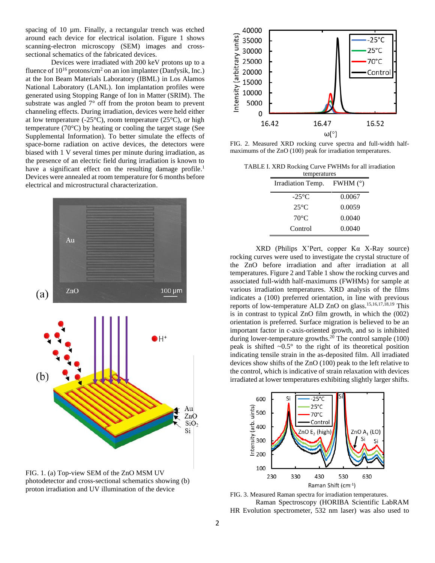spacing of 10 µm. Finally, a rectangular trench was etched around each device for electrical isolation. Figure 1 shows scanning-electron microscopy (SEM) images and crosssectional schematics of the fabricated devices.

Devices were irradiated with 200 keV protons up to a fluence of  $10^{16}$  protons/cm<sup>2</sup> on an ion implanter (Danfysik, Inc.) at the Ion Beam Materials Laboratory (IBML) in Los Alamos National Laboratory (LANL). Ion implantation profiles were generated using Stopping Range of Ion in Matter (SRIM). The substrate was angled 7° off from the proton beam to prevent channeling effects. During irradiation, devices were held either at low temperature (-25 $\textdegree$ C), room temperature (25 $\textdegree$ C), or high temperature (70°C) by heating or cooling the target stage (See Supplemental Information). To better simulate the effects of space-borne radiation on active devices, the detectors were biased with 1 V several times per minute during irradiation, as the presence of an electric field during irradiation is known to have a significant effect on the resulting damage profile.<sup>1</sup> Devices were annealed at room temperature for 6 months before electrical and microstructural characterization.



FIG. 1. (a) Top-view SEM of the ZnO MSM UV photodetector and cross-sectional schematics showing (b) proton irradiation and UV illumination of the device



FIG. 2. Measured XRD rocking curve spectra and full-width halfmaximums of the ZnO (100) peak for irradiation temperatures.

TABLE I. XRD Rocking Curve FWHMs for all irradiation

| temperatures                 |        |  |  |
|------------------------------|--------|--|--|
| Irradiation Temp. FWHM $(°)$ |        |  |  |
| $-25^{\circ}$ C              | 0.0067 |  |  |
| $25^{\circ}$ C               | 0.0059 |  |  |
| $70^{\circ}$ C               | 0.0040 |  |  |
| Control                      | 0.0040 |  |  |

XRD (Philips X'Pert, copper Kα X-Ray source) rocking curves were used to investigate the crystal structure of the ZnO before irradiation and after irradiation at all temperatures. Figure 2 and Table 1 show the rocking curves and associated full-width half-maximums (FWHMs) for sample at various irradiation temperatures. XRD analysis of the films indicates a (100) preferred orientation, in line with previous reports of low-temperature ALD ZnO on glass. 15,16,17,18,19 This is in contrast to typical ZnO film growth, in which the (002) orientation is preferred. Surface migration is believed to be an important factor in c-axis-oriented growth, and so is inhibited during lower-temperature growths. <sup>20</sup> The control sample (100) peak is shifted  $\sim 0.5^\circ$  to the right of its theoretical position indicating tensile strain in the as-deposited film. All irradiated devices show shifts of the ZnO (100) peak to the left relative to the control, which is indicative of strain relaxation with devices irradiated at lower temperatures exhibiting slightly larger shifts.



FIG. 3. Measured Raman spectra for irradiation temperatures. Raman Spectroscopy (HORIBA Scientific LabRAM HR Evolution spectrometer, 532 nm laser) was also used to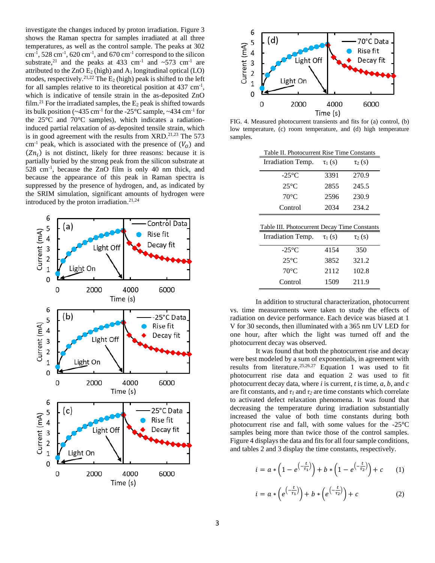investigate the changes induced by proton irradiation. Figure 3 shows the Raman spectra for samples irradiated at all three temperatures, as well as the control sample. The peaks at 302  $\text{cm}^{-1}$ , 528 cm<sup>-1</sup>, 620 cm<sup>-1</sup>, and 670 cm<sup>-1</sup> correspond to the silicon substrate,<sup>21</sup> and the peaks at 433 cm<sup>-1</sup> and  $\sim$ 573 cm<sup>-1</sup> are attributed to the ZnO  $E_2$  (high) and A<sub>1</sub> longitudinal optical (LO) modes, respectively.<sup>21,22</sup> The  $E_2$  (high) peak is shifted to the left for all samples relative to its theoretical position at  $437 \text{ cm}^{-1}$ , which is indicative of tensile strain in the as-deposited ZnO film.<sup>21</sup> For the irradiated samples, the  $E_2$  peak is shifted towards its bulk position ( $\sim$ 435 cm<sup>-1</sup> for the -25 $\rm{^{\circ}C}$  sample,  $\sim$ 434 cm<sup>-1</sup> for the 25°C and 70°C samples), which indicates a radiationinduced partial relaxation of as-deposited tensile strain, which is in good agreement with the results from  $XRD$ .<sup>21,23</sup> The 573 cm<sup>-1</sup> peak, which is associated with the presence of  $(V_0)$  and  $(Zn_i)$  is not distinct, likely for three reasons: because it is partially buried by the strong peak from the silicon substrate at 528 cm-1 , because the ZnO film is only 40 nm thick, and because the appearance of this peak in Raman spectra is suppressed by the presence of hydrogen, and, as indicated by the SRIM simulation, significant amounts of hydrogen were introduced by the proton irradiation. 21,24





FIG. 4. Measured photocurrent transients and fits for (a) control, (b) low temperature, (c) room temperature, and (d) high temperature samples.

 $\equiv$ 

| Table II. Photocurrent Rise Time Constants |             |             |  |
|--------------------------------------------|-------------|-------------|--|
| Irradiation Temp.                          | $\tau_1(s)$ | $\tau_2(s)$ |  |
| $-25^{\circ}$ C                            | 3391        | 270.9       |  |
| $25^{\circ}$ C                             | 2855        | 245.5       |  |
| $70^{\circ}$ C                             | 2596        | 230.9       |  |
| Control                                    | 2034        | 234.2       |  |

| Table III. Photocurrent Decay Time Constants |              |             |  |
|----------------------------------------------|--------------|-------------|--|
| Irradiation Temp.                            | $\tau_1$ (s) | $\tau_2(s)$ |  |
| $-25^{\circ}$ C                              | 4154         | 350         |  |
| $25^{\circ}$ C                               | 3852         | 321.2       |  |
| $70^{\circ}$ C                               | 2112         | 102.8       |  |
| Control                                      | 1509         | 211.9       |  |

In addition to structural characterization, photocurrent vs. time measurements were taken to study the effects of radiation on device performance. Each device was biased at 1 V for 30 seconds, then illuminated with a 365 nm UV LED for one hour, after which the light was turned off and the photocurrent decay was observed.

It was found that both the photocurrent rise and decay were best modeled by a sum of exponentials, in agreement with results from literature.<sup>25,26,27</sup> Equation 1 was used to fit photocurrent rise data and equation 2 was used to fit photocurrent decay data, where *i* is current, *t* is time, *a*, *b*, and *c* are fit constants, and  $\tau_1$  and  $\tau_2$  are time constants which correlate to activated defect relaxation phenomena. It was found that decreasing the temperature during irradiation substantially increased the value of both time constants during both photocurrent rise and fall, with some values for the -25°C samples being more than twice those of the control samples. Figure 4 displays the data and fits for all four sample conditions, and tables 2 and 3 display the time constants, respectively.

$$
i = a * \left(1 - e^{\left(-\frac{t}{\tau_1}\right)}\right) + b * \left(1 - e^{\left(-\frac{t}{\tau_2}\right)}\right) + c \qquad (1)
$$

$$
i = a * \left(e^{\left(-\frac{t}{\tau_1}\right)}\right) + b * \left(e^{\left(-\frac{t}{\tau_2}\right)}\right) + c \tag{2}
$$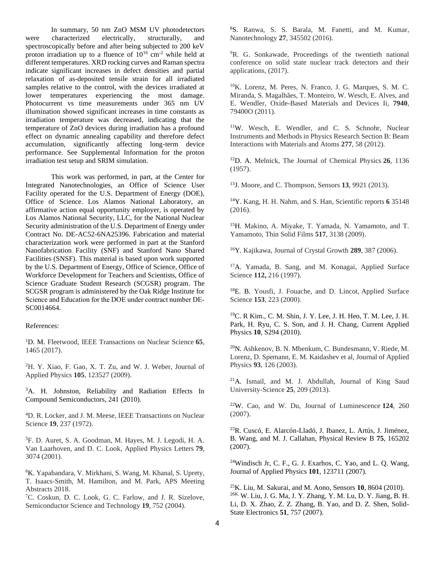In summary, 50 nm ZnO MSM UV photodetectors were characterized electrically, structurally, and spectroscopically before and after being subjected to 200 keV proton irradiation up to a fluence of  $10^{16}$  cm<sup>-2</sup> while held at different temperatures. XRD rocking curves and Raman spectra indicate significant increases in defect densities and partial relaxation of as-deposited tensile strain for all irradiated samples relative to the control, with the devices irradiated at lower temperatures experiencing the most damage. Photocurrent vs time measurements under 365 nm UV illumination showed significant increases in time constants as irradiation temperature was decreased, indicating that the temperature of ZnO devices during irradiation has a profound effect on dynamic annealing capability and therefore defect accumulation, significantly affecting long-term device performance. See Supplemental Information for the proton irradiation test setup and SRIM simulation.

This work was performed, in part, at the Center for Integrated Nanotechnologies, an Office of Science User Facility operated for the U.S. Department of Energy (DOE), Office of Science. Los Alamos National Laboratory, an affirmative action equal opportunity employer, is operated by Los Alamos National Security, LLC, for the National Nuclear Security administration of the U.S. Department of Energy under Contract No. DE-AC52-6NA25396. Fabrication and material characterization work were performed in part at the Stanford Nanofabrication Facility (SNF) and Stanford Nano Shared Facilities (SNSF). This material is based upon work supported by the U.S. Department of Energy, Office of Science, Office of Workforce Development for Teachers and Scientists, Office of Science Graduate Student Research (SCGSR) program. The SCGSR program is administered by the Oak Ridge Institute for Science and Education for the DOE under contract number DE‐ SC0014664.

## References:

<sup>1</sup>D. M. Fleetwood, IEEE Transactions on Nuclear Science **65**, 1465 (2017).

<sup>2</sup>H. Y. Xiao, F. Gao, X. T. Zu, and W. J. Weber, Journal of Applied Physics **105**, 123527 (2009).

<sup>3</sup>A. H. Johnston, Reliability and Radiation Effects In Compound Semiconductors, 241 (2010).

<sup>4</sup>D. R. Locker, and J. M. Meese, IEEE Transactions on Nuclear Science **19**, 237 (1972).

<sup>5</sup>F. D. Auret, S. A. Goodman, M. Hayes, M. J. Legodi, H. A. Van Laarhoven, and D. C. Look, Applied Physics Letters **79**, 3074 (2001).

<sup>6</sup>K. Yapabandara, V. Mirkhani, S. Wang, M. Khanal, S. Uprety, T. Isaacs-Smith, M. Hamilton, and M. Park, APS Meeting Abstracts 2018.

<sup>7</sup>C. Coskun, D. C. Look, G. C. Farlow, and J. R. Sizelove, Semiconductor Science and Technology **19**, 752 (2004).

<sup>8</sup>S. Ranwa, S. S. Barala, M. Fanetti, and M. Kumar, Nanotechnology **27**, 345502 (2016).

<sup>9</sup>R. G. Sonkawade, Proceedings of the twentieth national conference on solid state nuclear track detectors and their applications, (2017).

<sup>10</sup>K. Lorenz, M. Peres, N. Franco, J. G. Marques, S. M. C. Miranda, S. Magalhães, T. Monteiro, W. Wesch, E. Alves, and E. Wendler, Oxide-Based Materials and Devices Ii, **7940**, 79400O (2011).

<sup>11</sup>W. Wesch, E. Wendler, and C. S. Schnohr, Nuclear Instruments and Methods in Physics Research Section B: Beam Interactions with Materials and Atoms **277**, 58 (2012).

<sup>12</sup>D. A. Melnick, The Journal of Chemical Physics **26**, 1136 (1957).

<sup>13</sup>J. Moore, and C. Thompson, Sensors **13**, 9921 (2013).

<sup>14</sup>Y. Kang, H. H. Nahm, and S. Han, Scientific reports **6** 35148 (2016).

<sup>15</sup>H. Makino, A. Miyake, T. Yamada, N. Yamamoto, and T. Yamamoto, Thin Solid Films **517**, 3138 (2009).

<sup>16</sup>Y. Kajikawa, Journal of Crystal Growth **289**, 387 (2006).

<sup>17</sup>A. Yamada, B. Sang, and M. Konagai, Applied Surface Science **112,** 216 (1997).

<sup>18</sup>E. B. Yousfi, J. Fouache, and D. Lincot, Applied Surface Science **153**, 223 (2000).

<sup>19</sup>C. R Kim., C. M. Shin, J. Y. Lee, J. H. Heo, T. M. Lee, J. H. Park, H. Ryu, C. S. Son, and J. H. Chang, Current Applied Physics **10**, S294 (2010).

<sup>20</sup>N. Ashkenov, B. N. Mbenkum, C. Bundesmann, V. Riede, M. Lorenz, D. Spemann, E. M. Kaidashev et al, Journal of Applied Physics **93**, 126 (2003).

 $21A$ . Ismail, and M. J. Abdullah, Journal of King Saud University-Science **25**, 209 (2013).

<sup>22</sup>W. Cao, and W. Du, Journal of Luminescence **124**, 260 (2007).

<sup>23</sup>R. Cuscó, E. Alarcón-Lladó, J. Ibanez, L. Artús, J. Jiménez, B. Wang, and M. J. Callahan, Physical Review B **75**, 165202 (2007).

 $24$ Windisch Jr, C. F., G. J. Exarhos, C. Yao, and L. O. Wang, Journal of Applied Physics **101**, 123711 (2007).

<sup>25</sup>K. Liu, M. Sakurai, and M. Aono, Sensors **10**, 8604 (2010). 26K. W. Liu, J. G. Ma, J. Y. Zhang, Y. M. Lu, D. Y. Jiang, B. H. Li, D. X. Zhao, Z. Z. Zhang, B. Yao, and D. Z. Shen, Solid-State Electronics **51**, 757 (2007).